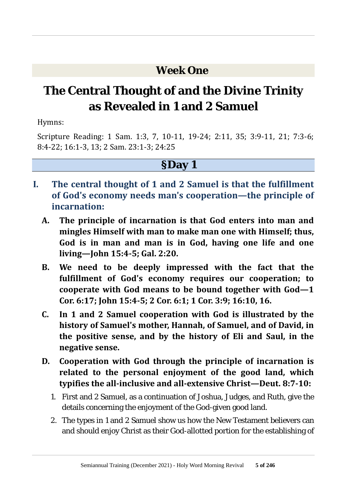## **Week One**

# **The Central Thought of and the Divine Trinity as Revealed in 1 and 2 Samuel**

Hymns:

Scripture Reading: 1 Sam. 1:3, 7, 10-11, 19-24; 2:11, 35; 3:9-11, 21; 7:3-6; 8:4-22; 16:1-3, 13; 2 Sam. 23:1-3; 24:25

## **§Day 1**

- **I. The central thought of 1 and 2 Samuel is that the fulfillment of God's economy needs man's cooperation—the principle of incarnation:**
	- **A. The principle of incarnation is that God enters into man and mingles Himself with man to make man one with Himself; thus, God is in man and man is in God, having one life and one living—John 15:4-5; Gal. 2:20.**
	- **B. We need to be deeply impressed with the fact that the fulfillment of God's economy requires our cooperation; to cooperate with God means to be bound together with God—1 Cor. 6:17; John 15:4-5; 2 Cor. 6:1; 1 Cor. 3:9; 16:10, 16.**
	- **C. In 1 and 2 Samuel cooperation with God is illustrated by the history of Samuel's mother, Hannah, of Samuel, and of David, in the positive sense, and by the history of Eli and Saul, in the negative sense.**
	- **D. Cooperation with God through the principle of incarnation is related to the personal enjoyment of the good land, which typifies the all-inclusive and all-extensive Christ—Deut. 8:7-10:**
		- 1. First and 2 Samuel, as a continuation of Joshua, Judges, and Ruth, give the details concerning the enjoyment of the God-given good land.
		- 2. The types in 1 and 2 Samuel show us how the New Testament believers can and should enjoy Christ as their God-allotted portion for the establishing of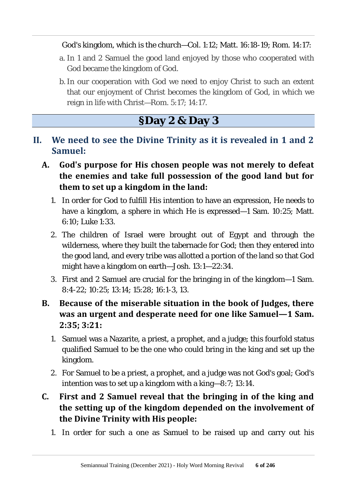#### God's kingdom, which is the church—Col. 1:12; Matt. 16:18-19; Rom. 14:17:

- a. In 1 and 2 Samuel the good land enjoyed by those who cooperated with God became the kingdom of God.
- b.In our cooperation with God we need to enjoy Christ to such an extent that our enjoyment of Christ becomes the kingdom of God, in which we reign in life with Christ—Rom. 5:17; 14:17.

## **§Day 2 & Day 3**

- **II. We need to see the Divine Trinity as it is revealed in 1 and 2 Samuel:**
	- **A. God's purpose for His chosen people was not merely to defeat the enemies and take full possession of the good land but for them to set up a kingdom in the land:**
		- 1. In order for God to fulfill His intention to have an expression, He needs to have a kingdom, a sphere in which He is expressed—1 Sam. 10:25; Matt. 6:10; Luke 1:33.
		- 2. The children of Israel were brought out of Egypt and through the wilderness, where they built the tabernacle for God; then they entered into the good land, and every tribe was allotted a portion of the land so that God might have a kingdom on earth—Josh. 13:1—22:34.
		- 3. First and 2 Samuel are crucial for the bringing in of the kingdom—1 Sam. 8:4-22; 10:25; 13:14; 15:28; 16:1-3, 13.
	- **B. Because of the miserable situation in the book of Judges, there was an urgent and desperate need for one like Samuel—1 Sam. 2:35; 3:21:**
		- 1. Samuel was a Nazarite, a priest, a prophet, and a judge; this fourfold status qualified Samuel to be the one who could bring in the king and set up the kingdom.
		- 2. For Samuel to be a priest, a prophet, and a judge was not God's goal; God's intention was to set up a kingdom with a king—8:7; 13:14.

#### **C. First and 2 Samuel reveal that the bringing in of the king and the setting up of the kingdom depended on the involvement of the Divine Trinity with His people:**

1. In order for such a one as Samuel to be raised up and carry out his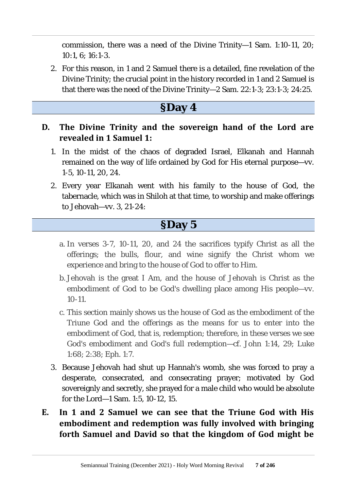commission, there was a need of the Divine Trinity—1 Sam. 1:10-11, 20; 10:1, 6; 16:1-3.

2. For this reason, in 1 and 2 Samuel there is a detailed, fine revelation of the Divine Trinity; the crucial point in the history recorded in 1 and 2 Samuel is that there was the need of the Divine Trinity—2 Sam. 22:1-3; 23:1-3; 24:25.

## **§Day 4**

#### **D. The Divine Trinity and the sovereign hand of the Lord are revealed in 1 Samuel 1:**

- 1. In the midst of the chaos of degraded Israel, Elkanah and Hannah remained on the way of life ordained by God for His eternal purpose—vv. 1-5, 10-11, 20, 24.
- 2. Every year Elkanah went with his family to the house of God, the tabernacle, which was in Shiloh at that time, to worship and make offerings to Jehovah—vv. 3, 21-24:

## **§Day 5**

- a. In verses 3-7, 10-11, 20, and 24 the sacrifices typify Christ as all the offerings; the bulls, flour, and wine signify the Christ whom we experience and bring to the house of God to offer to Him.
- b. Jehovah is the great I Am, and the house of Jehovah is Christ as the embodiment of God to be God's dwelling place among His people—vv. 10-11.
- c. This section mainly shows us the house of God as the embodiment of the Triune God and the offerings as the means for us to enter into the embodiment of God, that is, redemption; therefore, in these verses we see God's embodiment and God's full redemption—cf. John 1:14, 29; Luke 1:68; 2:38; Eph. 1:7.
- 3. Because Jehovah had shut up Hannah's womb, she was forced to pray a desperate, consecrated, and consecrating prayer; motivated by God sovereignly and secretly, she prayed for a male child who would be absolute for the Lord—1 Sam. 1:5, 10-12, 15.
- **E. In 1 and 2 Samuel we can see that the Triune God with His embodiment and redemption was fully involved with bringing forth Samuel and David so that the kingdom of God might be**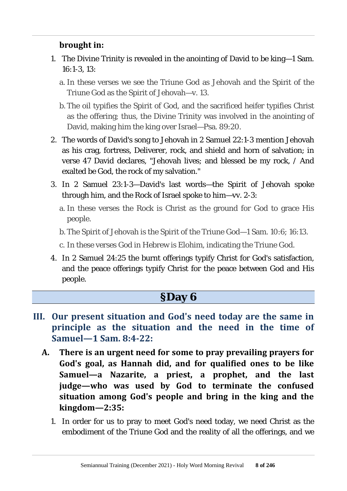#### **brought in:**

- 1. The Divine Trinity is revealed in the anointing of David to be king—1 Sam. 16:1-3, 13:
	- a. In these verses we see the Triune God as Jehovah and the Spirit of the Triune God as the Spirit of Jehovah—v. 13.
	- b. The oil typifies the Spirit of God, and the sacrificed heifer typifies Christ as the offering; thus, the Divine Trinity was involved in the anointing of David, making him the king over Israel—Psa. 89:20.
- 2. The words of David's song to Jehovah in 2 Samuel 22:1-3 mention Jehovah as his crag, fortress, Deliverer, rock, and shield and horn of salvation; in verse 47 David declares, "Jehovah lives; and blessed be my rock, / And exalted be God, the rock of my salvation."
- 3. In 2 Samuel 23:1-3—David's last words—the Spirit of Jehovah spoke through him, and the Rock of Israel spoke to him—vv. 2-3:
	- a. In these verses the Rock is Christ as the ground for God to grace His people.
	- b. The Spirit of Jehovah is the Spirit of the Triune God—1 Sam. 10:6; 16:13.
	- c. In these verses God in Hebrew is Elohim, indicating the Triune God.
- 4. In 2 Samuel 24:25 the burnt offerings typify Christ for God's satisfaction, and the peace offerings typify Christ for the peace between God and His people.

#### **§Day 6**

- **III. Our present situation and God's need today are the same in principle as the situation and the need in the time of Samuel—1 Sam. 8:4-22:**
	- **A. There is an urgent need for some to pray prevailing prayers for God's goal, as Hannah did, and for qualified ones to be like Samuel—a Nazarite, a priest, a prophet, and the last judge—who was used by God to terminate the confused situation among God's people and bring in the king and the kingdom—2:35:**
		- 1. In order for us to pray to meet God's need today, we need Christ as the embodiment of the Triune God and the reality of all the offerings, and we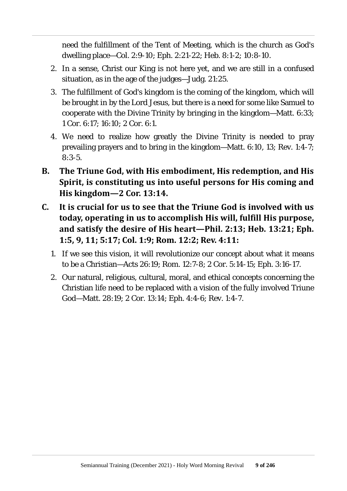need the fulfillment of the Tent of Meeting, which is the church as God's dwelling place—Col. 2:9-10; Eph. 2:21-22; Heb. 8:1-2; 10:8-10.

- 2. In a sense, Christ our King is not here yet, and we are still in a confused situation, as in the age of the judges—Judg. 21:25.
- 3. The fulfillment of God's kingdom is the coming of the kingdom, which will be brought in by the Lord Jesus, but there is a need for some like Samuel to cooperate with the Divine Trinity by bringing in the kingdom—Matt. 6:33; 1 Cor. 6:17; 16:10; 2 Cor. 6:1.
- 4. We need to realize how greatly the Divine Trinity is needed to pray prevailing prayers and to bring in the kingdom—Matt. 6:10, 13; Rev. 1:4-7; 8:3-5.
- **B. The Triune God, with His embodiment, His redemption, and His Spirit, is constituting us into useful persons for His coming and His kingdom—2 Cor. 13:14.**
- **C. It is crucial for us to see that the Triune God is involved with us today, operating in us to accomplish His will, fulfill His purpose, and satisfy the desire of His heart—Phil. 2:13; Heb. 13:21; Eph. 1:5, 9, 11; 5:17; Col. 1:9; Rom. 12:2; Rev. 4:11:**
	- 1. If we see this vision, it will revolutionize our concept about what it means to be a Christian—Acts 26:19; Rom. 12:7-8; 2 Cor. 5:14-15; Eph. 3:16-17.
	- 2. Our natural, religious, cultural, moral, and ethical concepts concerning the Christian life need to be replaced with a vision of the fully involved Triune God—Matt. 28:19; 2 Cor. 13:14; Eph. 4:4-6; Rev. 1:4-7.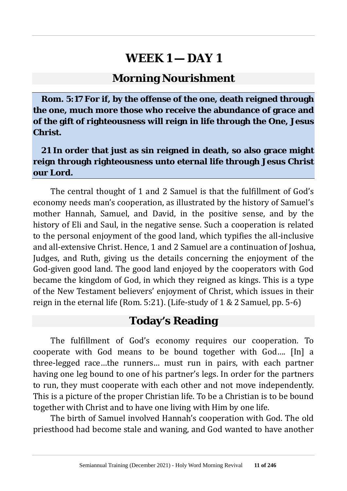#### **Morning Nourishment**

**Rom. 5:17 For if, by the offense of the one, death reigned through the one, much more those who receive the abundance of grace and of the gift of righteousness will reign in life through the One, Jesus Christ.**

#### **21 In order that just as sin reigned in death, so also grace might reign through righteousness unto eternal life through Jesus Christ our Lord.**

The central thought of 1 and 2 Samuel is that the fulfillment of God's economy needs man's cooperation, as illustrated by the history of Samuel's mother Hannah, Samuel, and David, in the positive sense, and by the history of Eli and Saul, in the negative sense. Such a cooperation is related to the personal enjoyment of the good land, which typifies the all-inclusive and all-extensive Christ. Hence, 1 and 2 Samuel are a continuation of Joshua, Judges, and Ruth, giving us the details concerning the enjoyment of the God-given good land. The good land enjoyed by the cooperators with God became the kingdom of God, in which they reigned as kings. This is a type of the New Testament believers' enjoyment of Christ, which issues in their reign in the eternal life (Rom. 5:21). (Life-study of 1 & 2 Samuel, pp. 5-6)

#### **Today's Reading**

The fulfillment of God's economy requires our cooperation. To cooperate with God means to be bound together with God…. [In] a three-legged race…the runners… must run in pairs, with each partner having one leg bound to one of his partner's legs. In order for the partners to run, they must cooperate with each other and not move independently. This is a picture of the proper Christian life. To be a Christian is to be bound together with Christ and to have one living with Him by one life.

The birth of Samuel involved Hannah's cooperation with God. The old priesthood had become stale and waning, and God wanted to have another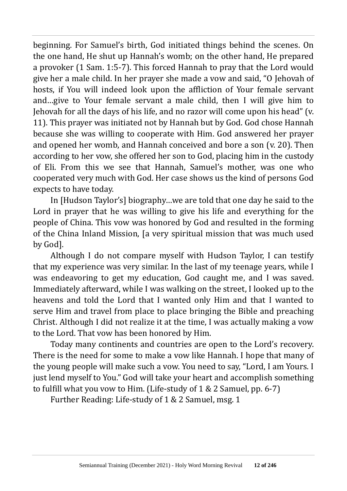beginning. For Samuel's birth, God initiated things behind the scenes. On the one hand, He shut up Hannah's womb; on the other hand, He prepared a provoker (1 Sam. 1:5-7). This forced Hannah to pray that the Lord would give her a male child. In her prayer she made a vow and said, "O Jehovah of hosts, if You will indeed look upon the affliction of Your female servant and…give to Your female servant a male child, then I will give him to Jehovah for all the days of his life, and no razor will come upon his head" (v. 11). This prayer was initiated not by Hannah but by God. God chose Hannah because she was willing to cooperate with Him. God answered her prayer and opened her womb, and Hannah conceived and bore a son (v. 20). Then according to her vow, she offered her son to God, placing him in the custody of Eli. From this we see that Hannah, Samuel's mother, was one who cooperated very much with God. Her case shows us the kind of persons God expects to have today.

In [Hudson Taylor's] biography…we are told that one day he said to the Lord in prayer that he was willing to give his life and everything for the people of China. This vow was honored by God and resulted in the forming of the China Inland Mission, [a very spiritual mission that was much used by God].

Although I do not compare myself with Hudson Taylor, I can testify that my experience was very similar. In the last of my teenage years, while I was endeavoring to get my education, God caught me, and I was saved. Immediately afterward, while I was walking on the street, I looked up to the heavens and told the Lord that I wanted only Him and that I wanted to serve Him and travel from place to place bringing the Bible and preaching Christ. Although I did not realize it at the time, I was actually making a vow to the Lord. That vow has been honored by Him.

Today many continents and countries are open to the Lord's recovery. There is the need for some to make a vow like Hannah. I hope that many of the young people will make such a vow. You need to say, "Lord, I am Yours. I just lend myself to You." God will take your heart and accomplish something to fulfill what you vow to Him. (Life-study of 1 & 2 Samuel, pp. 6-7)

Further Reading: Life-study of 1 & 2 Samuel, msg. 1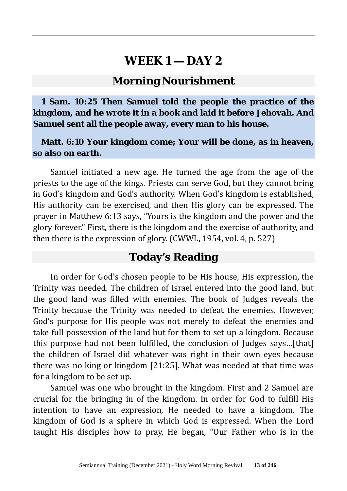#### **Morning Nourishment**

**1 Sam. 10:25 Then Samuel told the people the practice of the kingdom, and he wrote it in a book and laid it before Jehovah. And Samuel sent all the people away, every man to his house.**

#### **Matt. 6:10 Your kingdom come; Your will be done, as in heaven, so also on earth.**

Samuel initiated a new age. He turned the age from the age of the priests to the age of the kings. Priests can serve God, but they cannot bring in God's kingdom and God's authority. When God's kingdom is established, His authority can be exercised, and then His glory can be expressed. The prayer in Matthew 6:13 says, "Yours is the kingdom and the power and the glory forever." First, there is the kingdom and the exercise of authority, and then there is the expression of glory. (CWWL, 1954, vol. 4, p. 527)

## **Today's Reading**

In order for God's chosen people to be His house, His expression, the Trinity was needed. The children of Israel entered into the good land, but the good land was filled with enemies. The book of Judges reveals the Trinity because the Trinity was needed to defeat the enemies. However, God's purpose for His people was not merely to defeat the enemies and take full possession of the land but for them to set up a kingdom. Because this purpose had not been fulfilled, the conclusion of Judges says…[that] the children of Israel did whatever was right in their own eyes because there was no king or kingdom [21:25]. What was needed at that time was for a kingdom to be set up.

Samuel was one who brought in the kingdom. First and 2 Samuel are crucial for the bringing in of the kingdom. In order for God to fulfill His intention to have an expression, He needed to have a kingdom. The kingdom of God is a sphere in which God is expressed. When the Lord taught His disciples how to pray, He began, "Our Father who is in the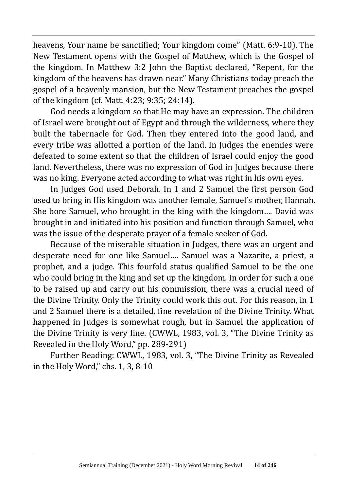heavens, Your name be sanctified; Your kingdom come" (Matt. 6:9-10). The New Testament opens with the Gospel of Matthew, which is the Gospel of the kingdom. In Matthew 3:2 John the Baptist declared, "Repent, for the kingdom of the heavens has drawn near." Many Christians today preach the gospel of a heavenly mansion, but the New Testament preaches the gospel of the kingdom (cf. Matt. 4:23; 9:35; 24:14).

God needs a kingdom so that He may have an expression. The children of Israel were brought out of Egypt and through the wilderness, where they built the tabernacle for God. Then they entered into the good land, and every tribe was allotted a portion of the land. In Judges the enemies were defeated to some extent so that the children of Israel could enjoy the good land. Nevertheless, there was no expression of God in Judges because there was no king. Everyone acted according to what was right in his own eyes.

In Judges God used Deborah. In 1 and 2 Samuel the first person God used to bring in His kingdom was another female, Samuel's mother, Hannah. She bore Samuel, who brought in the king with the kingdom…. David was brought in and initiated into his position and function through Samuel, who was the issue of the desperate prayer of a female seeker of God.

Because of the miserable situation in Judges, there was an urgent and desperate need for one like Samuel…. Samuel was a Nazarite, a priest, a prophet, and a judge. This fourfold status qualified Samuel to be the one who could bring in the king and set up the kingdom. In order for such a one to be raised up and carry out his commission, there was a crucial need of the Divine Trinity. Only the Trinity could work this out. For this reason, in 1 and 2 Samuel there is a detailed, fine revelation of the Divine Trinity. What happened in Judges is somewhat rough, but in Samuel the application of the Divine Trinity is very fine. (CWWL, 1983, vol. 3, "The Divine Trinity as Revealed in the Holy Word," pp. 289-291)

Further Reading: CWWL, 1983, vol. 3, "The Divine Trinity as Revealed in the Holy Word," chs. 1, 3, 8-10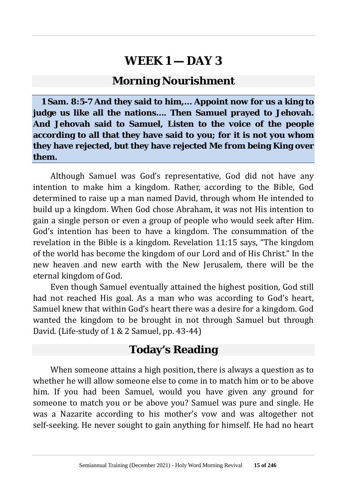#### **Morning Nourishment**

**1 Sam. 8:5-7 And they said to him,… Appoint now for us a king to judge us like all the nations…. Then Samuel prayed to Jehovah. And Jehovah said to Samuel, Listen to the voice of the people according to all that they have said to you; for it is not you whom they have rejected, but they have rejected Me from being King over them.**

Although Samuel was God's representative, God did not have any intention to make him a kingdom. Rather, according to the Bible, God determined to raise up a man named David, through whom He intended to build up a kingdom. When God chose Abraham, it was not His intention to gain a single person or even a group of people who would seek after Him. God's intention has been to have a kingdom. The consummation of the revelation in the Bible is a kingdom. Revelation 11:15 says, "The kingdom of the world has become the kingdom of our Lord and of His Christ." In the new heaven and new earth with the New Jerusalem, there will be the eternal kingdom of God.

Even though Samuel eventually attained the highest position, God still had not reached His goal. As a man who was according to God's heart, Samuel knew that within God's heart there was a desire for a kingdom. God wanted the kingdom to be brought in not through Samuel but through David. (Life-study of 1 & 2 Samuel, pp. 43-44)

#### **Today's Reading**

When someone attains a high position, there is always a question as to whether he will allow someone else to come in to match him or to be above him. If you had been Samuel, would you have given any ground for someone to match you or be above you? Samuel was pure and single. He was a Nazarite according to his mother's vow and was altogether not self-seeking. He never sought to gain anything for himself. He had no heart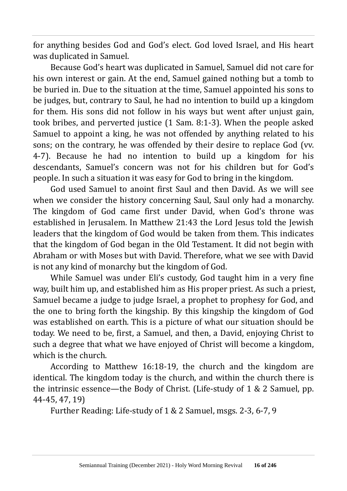for anything besides God and God's elect. God loved Israel, and His heart was duplicated in Samuel.

Because God's heart was duplicated in Samuel, Samuel did not care for his own interest or gain. At the end, Samuel gained nothing but a tomb to be buried in. Due to the situation at the time, Samuel appointed his sons to be judges, but, contrary to Saul, he had no intention to build up a kingdom for them. His sons did not follow in his ways but went after unjust gain, took bribes, and perverted justice (1 Sam. 8:1-3). When the people asked Samuel to appoint a king, he was not offended by anything related to his sons; on the contrary, he was offended by their desire to replace God (vv. 4-7). Because he had no intention to build up a kingdom for his descendants, Samuel's concern was not for his children but for God's people. In such a situation it was easy for God to bring in the kingdom.

God used Samuel to anoint first Saul and then David. As we will see when we consider the history concerning Saul, Saul only had a monarchy. The kingdom of God came first under David, when God's throne was established in Jerusalem. In Matthew 21:43 the Lord Jesus told the Jewish leaders that the kingdom of God would be taken from them. This indicates that the kingdom of God began in the Old Testament. It did not begin with Abraham or with Moses but with David. Therefore, what we see with David is not any kind of monarchy but the kingdom of God.

While Samuel was under Eli's custody, God taught him in a very fine way, built him up, and established him as His proper priest. As such a priest, Samuel became a judge to judge Israel, a prophet to prophesy for God, and the one to bring forth the kingship. By this kingship the kingdom of God was established on earth. This is a picture of what our situation should be today. We need to be, first, a Samuel, and then, a David, enjoying Christ to such a degree that what we have enjoyed of Christ will become a kingdom, which is the church.

According to Matthew 16:18-19, the church and the kingdom are identical. The kingdom today is the church, and within the church there is the intrinsic essence—the Body of Christ. (Life-study of 1 & 2 Samuel, pp. 44-45, 47, 19)

Further Reading: Life-study of 1 & 2 Samuel, msgs. 2-3, 6-7, 9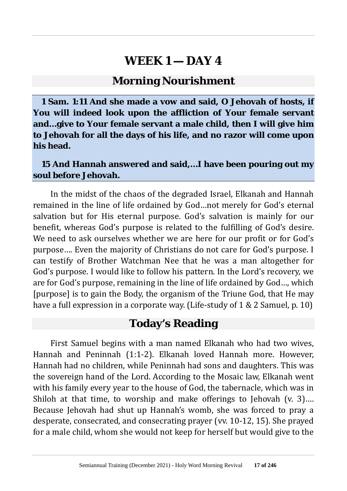#### **Morning Nourishment**

**1 Sam. 1:11 And she made a vow and said, O Jehovah of hosts, if You will indeed look upon the affliction of Your female servant and…give to Your female servant a male child, then I will give him to Jehovah for all the days of his life, and no razor will come upon his head.**

**15 And Hannah answered and said,…I have been pouring out my soul before Jehovah.**

In the midst of the chaos of the degraded Israel, Elkanah and Hannah remained in the line of life ordained by God…not merely for God's eternal salvation but for His eternal purpose. God's salvation is mainly for our benefit, whereas God's purpose is related to the fulfilling of God's desire. We need to ask ourselves whether we are here for our profit or for God's purpose…. Even the majority of Christians do not care for God's purpose. I can testify of Brother Watchman Nee that he was a man altogether for God's purpose. I would like to follow his pattern. In the Lord's recovery, we are for God's purpose, remaining in the line of life ordained by God…, which [purpose] is to gain the Body, the organism of the Triune God, that He may have a full expression in a corporate way. (Life-study of 1 & 2 Samuel, p. 10)

#### **Today's Reading**

First Samuel begins with a man named Elkanah who had two wives, Hannah and Peninnah (1:1-2). Elkanah loved Hannah more. However, Hannah had no children, while Peninnah had sons and daughters. This was the sovereign hand of the Lord. According to the Mosaic law, Elkanah went with his family every year to the house of God, the tabernacle, which was in Shiloh at that time, to worship and make offerings to Jehovah (v. 3)... Because Jehovah had shut up Hannah's womb, she was forced to pray a desperate, consecrated, and consecrating prayer (vv. 10-12, 15). She prayed for a male child, whom she would not keep for herself but would give to the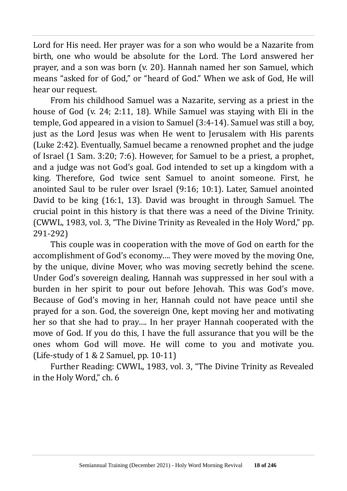Lord for His need. Her prayer was for a son who would be a Nazarite from birth, one who would be absolute for the Lord. The Lord answered her prayer, and a son was born (v. 20). Hannah named her son Samuel, which means "asked for of God," or "heard of God." When we ask of God, He will hear our request.

From his childhood Samuel was a Nazarite, serving as a priest in the house of God (v. 24; 2:11, 18). While Samuel was staying with Eli in the temple, God appeared in a vision to Samuel (3:4-14). Samuel was still a boy, just as the Lord Jesus was when He went to Jerusalem with His parents (Luke 2:42). Eventually, Samuel became a renowned prophet and the judge of Israel (1 Sam. 3:20; 7:6). However, for Samuel to be a priest, a prophet, and a judge was not God's goal. God intended to set up a kingdom with a king. Therefore, God twice sent Samuel to anoint someone. First, he anointed Saul to be ruler over Israel (9:16; 10:1). Later, Samuel anointed David to be king (16:1, 13). David was brought in through Samuel. The crucial point in this history is that there was a need of the Divine Trinity. (CWWL, 1983, vol. 3, "The Divine Trinity as Revealed in the Holy Word," pp. 291-292)

This couple was in cooperation with the move of God on earth for the accomplishment of God's economy…. They were moved by the moving One, by the unique, divine Mover, who was moving secretly behind the scene. Under God's sovereign dealing, Hannah was suppressed in her soul with a burden in her spirit to pour out before Jehovah. This was God's move. Because of God's moving in her, Hannah could not have peace until she prayed for a son. God, the sovereign One, kept moving her and motivating her so that she had to pray…. In her prayer Hannah cooperated with the move of God. If you do this, I have the full assurance that you will be the ones whom God will move. He will come to you and motivate you. (Life-study of  $1 & 2$  Samuel, pp. 10-11)

Further Reading: CWWL, 1983, vol. 3, "The Divine Trinity as Revealed in the Holy Word," ch. 6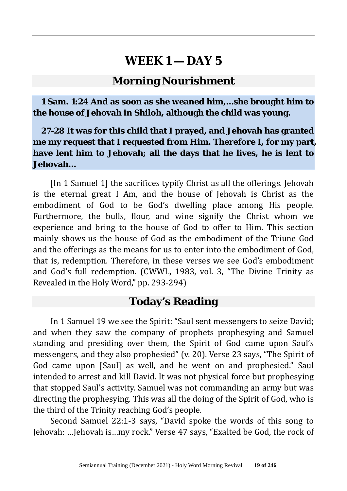#### **Morning Nourishment**

**1 Sam. 1:24 And as soon as she weaned him,…she brought him to the house of Jehovah in Shiloh, although the child was young.**

**27-28 It was for this child that I prayed, and Jehovah has granted me my request that I requested from Him. Therefore I, for my part, have lent him to Jehovah; all the days that he lives, he is lent to Jehovah…**

[In 1 Samuel 1] the sacrifices typify Christ as all the offerings. Jehovah is the eternal great I Am, and the house of Jehovah is Christ as the embodiment of God to be God's dwelling place among His people. Furthermore, the bulls, flour, and wine signify the Christ whom we experience and bring to the house of God to offer to Him. This section mainly shows us the house of God as the embodiment of the Triune God and the offerings as the means for us to enter into the embodiment of God, that is, redemption. Therefore, in these verses we see God's embodiment and God's full redemption. (CWWL, 1983, vol. 3, "The Divine Trinity as Revealed in the Holy Word," pp. 293-294)

## **Today's Reading**

In 1 Samuel 19 we see the Spirit: "Saul sent messengers to seize David; and when they saw the company of prophets prophesying and Samuel standing and presiding over them, the Spirit of God came upon Saul's messengers, and they also prophesied" (v. 20). Verse 23 says, "The Spirit of God came upon [Saul] as well, and he went on and prophesied." Saul intended to arrest and kill David. It was not physical force but prophesying that stopped Saul's activity. Samuel was not commanding an army but was directing the prophesying. This was all the doing of the Spirit of God, who is the third of the Trinity reaching God's people.

Second Samuel 22:1-3 says, "David spoke the words of this song to Jehovah: …Jehovah is…my rock." Verse 47 says, "Exalted be God, the rock of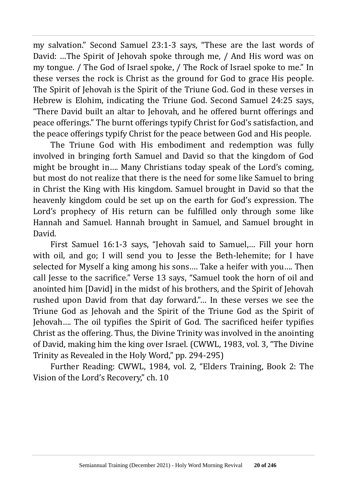my salvation." Second Samuel 23:1-3 says, "These are the last words of David: …The Spirit of Jehovah spoke through me, / And His word was on my tongue. / The God of Israel spoke, / The Rock of Israel spoke to me." In these verses the rock is Christ as the ground for God to grace His people. The Spirit of Jehovah is the Spirit of the Triune God. God in these verses in Hebrew is Elohim, indicating the Triune God. Second Samuel 24:25 says, "There David built an altar to Jehovah, and he offered burnt offerings and peace offerings." The burnt offerings typify Christ for God's satisfaction, and the peace offerings typify Christ for the peace between God and His people.

The Triune God with His embodiment and redemption was fully involved in bringing forth Samuel and David so that the kingdom of God might be brought in…. Many Christians today speak of the Lord's coming, but most do not realize that there is the need for some like Samuel to bring in Christ the King with His kingdom. Samuel brought in David so that the heavenly kingdom could be set up on the earth for God's expression. The Lord's prophecy of His return can be fulfilled only through some like Hannah and Samuel. Hannah brought in Samuel, and Samuel brought in David.

First Samuel 16:1-3 says, "Jehovah said to Samuel,… Fill your horn with oil, and go; I will send you to Jesse the Beth-lehemite; for I have selected for Myself a king among his sons…. Take a heifer with you…. Then call Jesse to the sacrifice." Verse 13 says, "Samuel took the horn of oil and anointed him [David] in the midst of his brothers, and the Spirit of Jehovah rushed upon David from that day forward."… In these verses we see the Triune God as Jehovah and the Spirit of the Triune God as the Spirit of Jehovah…. The oil typifies the Spirit of God. The sacrificed heifer typifies Christ as the offering. Thus, the Divine Trinity was involved in the anointing of David, making him the king over Israel. (CWWL, 1983, vol. 3, "The Divine Trinity as Revealed in the Holy Word," pp. 294-295)

Further Reading: CWWL, 1984, vol. 2, "Elders Training, Book 2: The Vision of the Lord's Recovery," ch. 10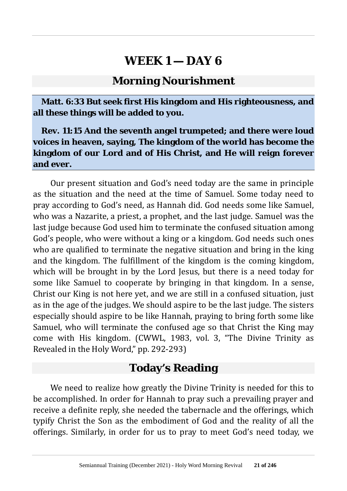#### **Morning Nourishment**

**Matt. 6:33 But seek first His kingdom and His righteousness, and all these things will be added to you.**

**Rev. 11:15 And the seventh angel trumpeted; and there were loud voices in heaven, saying, The kingdom of the world has become the kingdom of our Lord and of His Christ, and He will reign forever and ever.**

Our present situation and God's need today are the same in principle as the situation and the need at the time of Samuel. Some today need to pray according to God's need, as Hannah did. God needs some like Samuel, who was a Nazarite, a priest, a prophet, and the last judge. Samuel was the last judge because God used him to terminate the confused situation among God's people, who were without a king or a kingdom. God needs such ones who are qualified to terminate the negative situation and bring in the king and the kingdom. The fulfillment of the kingdom is the coming kingdom, which will be brought in by the Lord Jesus, but there is a need today for some like Samuel to cooperate by bringing in that kingdom. In a sense, Christ our King is not here yet, and we are still in a confused situation, just as in the age of the judges. We should aspire to be the last judge. The sisters especially should aspire to be like Hannah, praying to bring forth some like Samuel, who will terminate the confused age so that Christ the King may come with His kingdom. (CWWL, 1983, vol. 3, "The Divine Trinity as Revealed in the Holy Word," pp. 292-293)

# **Today's Reading**

We need to realize how greatly the Divine Trinity is needed for this to be accomplished. In order for Hannah to pray such a prevailing prayer and receive a definite reply, she needed the tabernacle and the offerings, which typify Christ the Son as the embodiment of God and the reality of all the offerings. Similarly, in order for us to pray to meet God's need today, we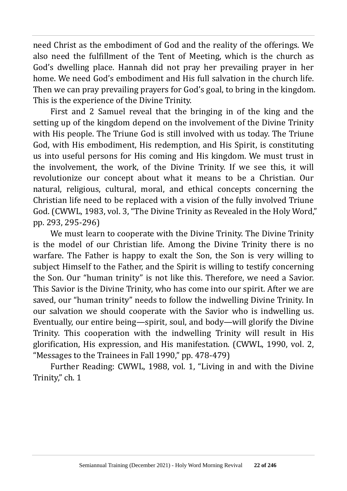need Christ as the embodiment of God and the reality of the offerings. We also need the fulfillment of the Tent of Meeting, which is the church as God's dwelling place. Hannah did not pray her prevailing prayer in her home. We need God's embodiment and His full salvation in the church life. Then we can pray prevailing prayers for God's goal, to bring in the kingdom. This is the experience of the Divine Trinity.

First and 2 Samuel reveal that the bringing in of the king and the setting up of the kingdom depend on the involvement of the Divine Trinity with His people. The Triune God is still involved with us today. The Triune God, with His embodiment, His redemption, and His Spirit, is constituting us into useful persons for His coming and His kingdom. We must trust in the involvement, the work, of the Divine Trinity. If we see this, it will revolutionize our concept about what it means to be a Christian. Our natural, religious, cultural, moral, and ethical concepts concerning the Christian life need to be replaced with a vision of the fully involved Triune God. (CWWL, 1983, vol. 3, "The Divine Trinity as Revealed in the Holy Word," pp. 293, 295-296)

We must learn to cooperate with the Divine Trinity. The Divine Trinity is the model of our Christian life. Among the Divine Trinity there is no warfare. The Father is happy to exalt the Son, the Son is very willing to subject Himself to the Father, and the Spirit is willing to testify concerning the Son. Our "human trinity" is not like this. Therefore, we need a Savior. This Savior is the Divine Trinity, who has come into our spirit. After we are saved, our "human trinity" needs to follow the indwelling Divine Trinity. In our salvation we should cooperate with the Savior who is indwelling us. Eventually, our entire being—spirit, soul, and body—will glorify the Divine Trinity. This cooperation with the indwelling Trinity will result in His glorification, His expression, and His manifestation. (CWWL, 1990, vol. 2, "Messages to the Trainees in Fall 1990," pp. 478-479)

Further Reading: CWWL, 1988, vol. 1, "Living in and with the Divine Trinity," ch. 1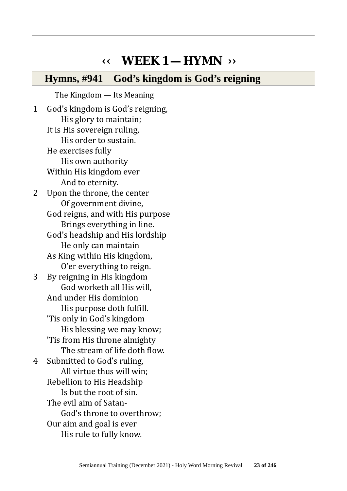# **‹‹ WEEK 1 — HYMN ››**

#### **Hymns, #941 God's kingdom is God's reigning**

The Kingdom — Its Meaning 1 God's kingdom is God's reigning, His glory to maintain; It is His sovereign ruling, His order to sustain. He exercises fully His own authority Within His kingdom ever And to eternity. 2 Upon the throne, the center Of government divine, God reigns, and with His purpose Brings everything in line. God's headship and His lordship He only can maintain As King within His kingdom, O'er everything to reign. 3 By reigning in His kingdom God worketh all His will, And under His dominion His purpose doth fulfill. 'Tis only in God's kingdom His blessing we may know; 'Tis from His throne almighty The stream of life doth flow. 4 Submitted to God's ruling, All virtue thus will win; Rebellion to His Headship Is but the root of sin. The evil aim of Satan-God's throne to overthrow; Our aim and goal is ever His rule to fully know.